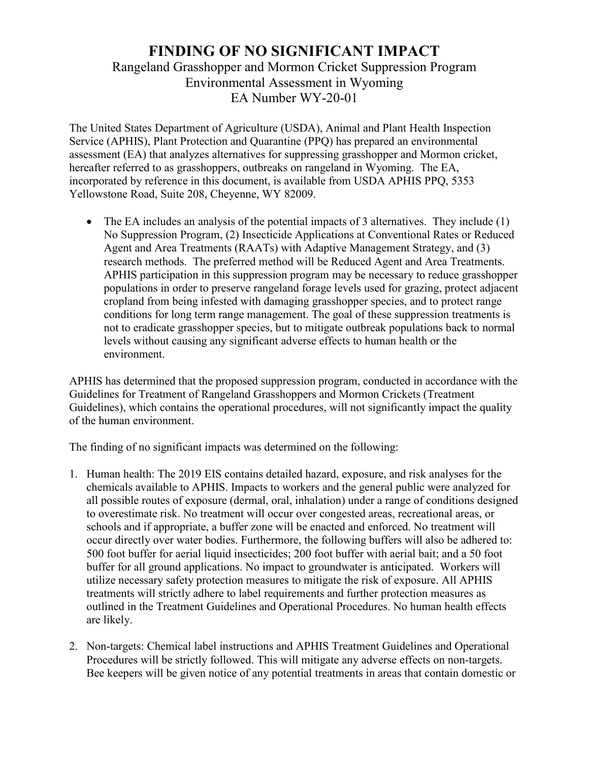## **FINDING OF NO SIGNIFICANT IMPACT** Rangeland Grasshopper and Mormon Cricket Suppression Program Environmental Assessment in Wyoming EA Number WY-20-01

The United States Department of Agriculture (USDA), Animal and Plant Health Inspection Service (APHIS), Plant Protection and Quarantine (PPQ) has prepared an environmental assessment (EA) that analyzes alternatives for suppressing grasshopper and Mormon cricket, hereafter referred to as grasshoppers, outbreaks on rangeland in Wyoming. The EA, incorporated by reference in this document, is available from USDA APHIS PPQ, 5353 Yellowstone Road, Suite 208, Cheyenne, WY 82009.

• The EA includes an analysis of the potential impacts of 3 alternatives. They include (1) No Suppression Program, (2) Insecticide Applications at Conventional Rates or Reduced Agent and Area Treatments (RAATs) with Adaptive Management Strategy, and (3) research methods. The preferred method will be Reduced Agent and Area Treatments. APHIS participation in this suppression program may be necessary to reduce grasshopper populations in order to preserve rangeland forage levels used for grazing, protect adjacent cropland from being infested with damaging grasshopper species, and to protect range conditions for long term range management. The goal of these suppression treatments is not to eradicate grasshopper species, but to mitigate outbreak populations back to normal levels without causing any significant adverse effects to human health or the environment.

APHIS has determined that the proposed suppression program, conducted in accordance with the Guidelines for Treatment of Rangeland Grasshoppers and Mormon Crickets (Treatment Guidelines), which contains the operational procedures, will not significantly impact the quality of the human environment.

The finding of no significant impacts was determined on the following:

- 1. Human health: The 2019 EIS contains detailed hazard, exposure, and risk analyses for the chemicals available to APHIS. Impacts to workers and the general public were analyzed for all possible routes of exposure (dermal, oral, inhalation) under a range of conditions designed to overestimate risk. No treatment will occur over congested areas, recreational areas, or schools and if appropriate, a buffer zone will be enacted and enforced. No treatment will occur directly over water bodies. Furthermore, the following buffers will also be adhered to: 500 foot buffer for aerial liquid insecticides; 200 foot buffer with aerial bait; and a 50 foot buffer for all ground applications. No impact to groundwater is anticipated. Workers will utilize necessary safety protection measures to mitigate the risk of exposure. All APHIS treatments will strictly adhere to label requirements and further protection measures as outlined in the Treatment Guidelines and Operational Procedures. No human health effects are likely.
- 2. Non-targets: Chemical label instructions and APHIS Treatment Guidelines and Operational Procedures will be strictly followed. This will mitigate any adverse effects on non-targets. Bee keepers will be given notice of any potential treatments in areas that contain domestic or